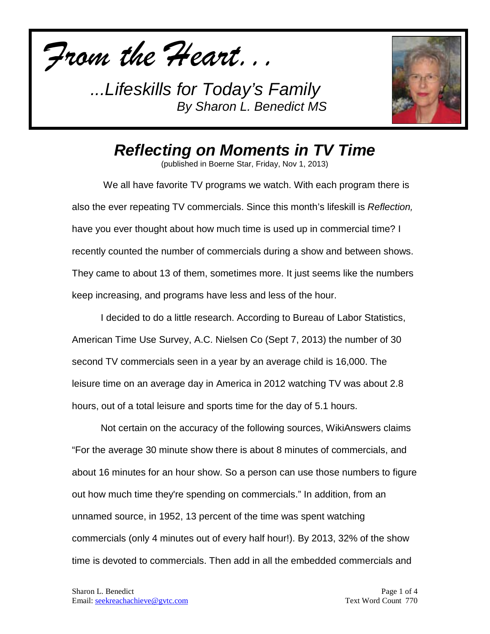*From the Heart...*



*Reflecting on Moments in TV Time*

(published in Boerne Star, Friday, Nov 1, 2013)

We all have favorite TV programs we watch. With each program there is also the ever repeating TV commercials. Since this month's lifeskill is *Reflection,*  have you ever thought about how much time is used up in commercial time? I recently counted the number of commercials during a show and between shows. They came to about 13 of them, sometimes more. It just seems like the numbers keep increasing, and programs have less and less of the hour.

I decided to do a little research. According to Bureau of Labor Statistics, American Time Use Survey, A.C. Nielsen Co (Sept 7, 2013) the number of 30 second TV commercials seen in a year by an average child is 16,000. The leisure time on an average day in America in 2012 watching TV was about 2.8 hours, out of a total leisure and sports time for the day of 5.1 hours.

Not certain on the accuracy of the following sources, WikiAnswers claims "For the average 30 minute show there is about 8 minutes of commercials, and about 16 minutes for an hour show. So a person can use those numbers to figure out how much time they're spending on commercials." In addition, from an unnamed source, in 1952, 13 percent of the time was spent watching commercials (only 4 minutes out of every half hour!). By 2013, 32% of the show time is devoted to commercials. Then add in all the embedded commercials and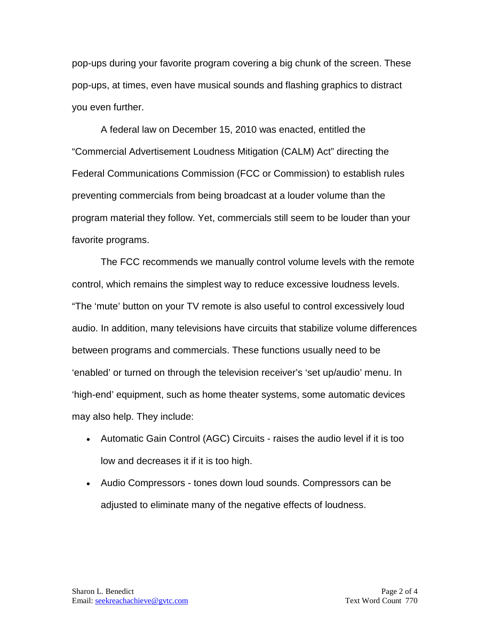pop-ups during your favorite program covering a big chunk of the screen. These pop-ups, at times, even have musical sounds and flashing graphics to distract you even further.

A federal law on December 15, 2010 was enacted, entitled the "Commercial Advertisement Loudness Mitigation (CALM) Act" directing the Federal Communications Commission (FCC or Commission) to establish rules preventing commercials from being broadcast at a louder volume than the program material they follow. Yet, commercials still seem to be louder than your favorite programs.

The FCC recommends we manually control volume levels with the remote control, which remains the simplest way to reduce excessive loudness levels. "The 'mute' button on your TV remote is also useful to control excessively loud audio. In addition, many televisions have circuits that stabilize volume differences between programs and commercials. These functions usually need to be 'enabled' or turned on through the television receiver's 'set up/audio' menu. In 'high-end' equipment, such as home theater systems, some automatic devices may also help. They include:

- Automatic Gain Control (AGC) Circuits raises the audio level if it is too low and decreases it if it is too high.
- Audio Compressors tones down loud sounds. Compressors can be adjusted to eliminate many of the negative effects of loudness.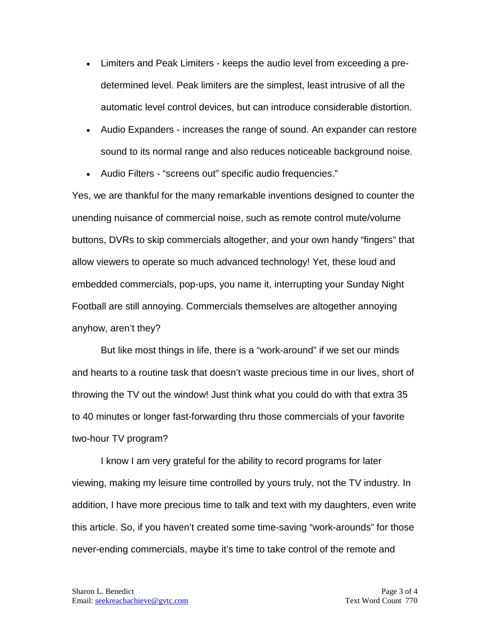- Limiters and Peak Limiters keeps the audio level from exceeding a predetermined level. Peak limiters are the simplest, least intrusive of all the automatic level control devices, but can introduce considerable distortion.
- Audio Expanders increases the range of sound. An expander can restore sound to its normal range and also reduces noticeable background noise.
- Audio Filters "screens out" specific audio frequencies."

Yes, we are thankful for the many remarkable inventions designed to counter the unending nuisance of commercial noise, such as remote control mute/volume buttons, DVRs to skip commercials altogether, and your own handy "fingers" that allow viewers to operate so much advanced technology! Yet, these loud and embedded commercials, pop-ups, you name it, interrupting your Sunday Night Football are still annoying. Commercials themselves are altogether annoying anyhow, aren't they?

But like most things in life, there is a "work-around" if we set our minds and hearts to a routine task that doesn't waste precious time in our lives, short of throwing the TV out the window! Just think what you could do with that extra 35 to 40 minutes or longer fast-forwarding thru those commercials of your favorite two-hour TV program?

I know I am very grateful for the ability to record programs for later viewing, making my leisure time controlled by yours truly, not the TV industry. In addition, I have more precious time to talk and text with my daughters, even write this article. So, if you haven't created some time-saving "work-arounds" for those never-ending commercials, maybe it's time to take control of the remote and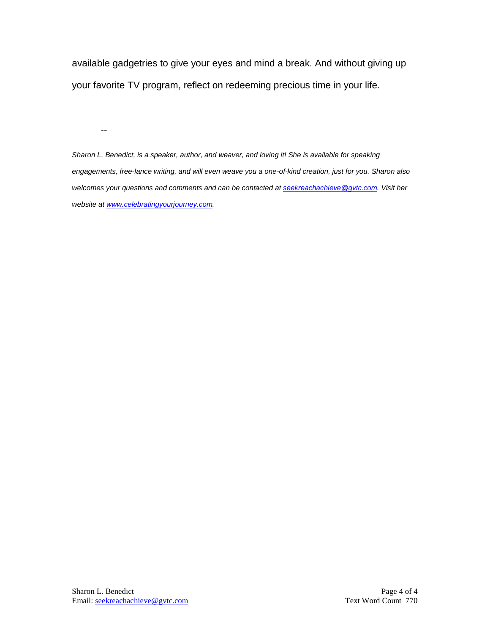available gadgetries to give your eyes and mind a break. And without giving up your favorite TV program, reflect on redeeming precious time in your life.

--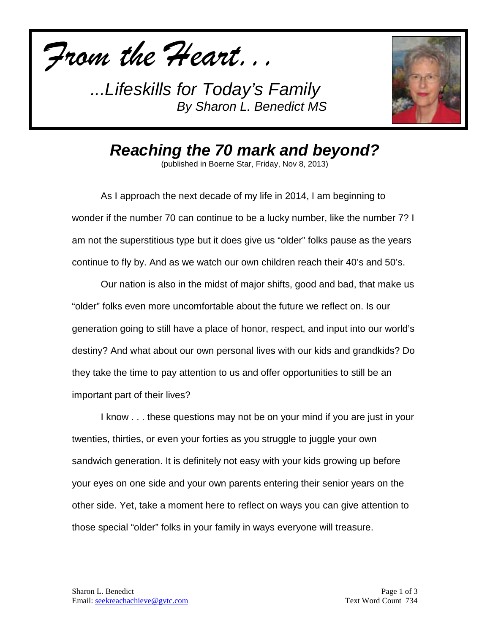*From the Heart...*



*Reaching the 70 mark and beyond?*

(published in Boerne Star, Friday, Nov 8, 2013)

As I approach the next decade of my life in 2014, I am beginning to wonder if the number 70 can continue to be a lucky number, like the number 7? I am not the superstitious type but it does give us "older" folks pause as the years continue to fly by. And as we watch our own children reach their 40's and 50's.

Our nation is also in the midst of major shifts, good and bad, that make us "older" folks even more uncomfortable about the future we reflect on. Is our generation going to still have a place of honor, respect, and input into our world's destiny? And what about our own personal lives with our kids and grandkids? Do they take the time to pay attention to us and offer opportunities to still be an important part of their lives?

I know . . . these questions may not be on your mind if you are just in your twenties, thirties, or even your forties as you struggle to juggle your own sandwich generation. It is definitely not easy with your kids growing up before your eyes on one side and your own parents entering their senior years on the other side. Yet, take a moment here to reflect on ways you can give attention to those special "older" folks in your family in ways everyone will treasure.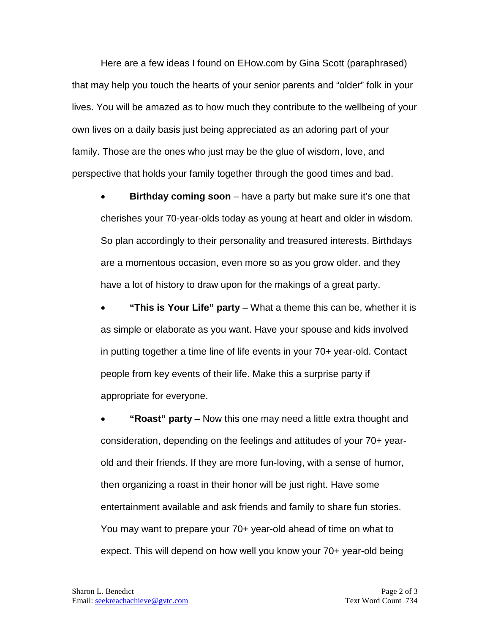Here are a few ideas I found on EHow.com by Gina Scott (paraphrased) that may help you touch the hearts of your senior parents and "older" folk in your lives. You will be amazed as to how much they contribute to the wellbeing of your own lives on a daily basis just being appreciated as an adoring part of your family. Those are the ones who just may be the glue of wisdom, love, and perspective that holds your family together through the good times and bad.

**Birthday coming soon** – have a party but make sure it's one that cherishes your 70-year-olds today as young at heart and older in wisdom. So plan accordingly to their personality and treasured interests. Birthdays are a momentous occasion, even more so as you grow older. and they have a lot of history to draw upon for the makings of a great party.

• **"This is Your Life" party** – What a theme this can be, whether it is as simple or elaborate as you want. Have your spouse and kids involved in putting together a time line of life events in your 70+ year-old. Contact people from key events of their life. Make this a surprise party if appropriate for everyone.

• **"Roast" party** – Now this one may need a little extra thought and consideration, depending on the feelings and attitudes of your 70+ yearold and their friends. If they are more fun-loving, with a sense of humor, then organizing a roast in their honor will be just right. Have some entertainment available and ask friends and family to share fun stories. You may want to prepare your 70+ year-old ahead of time on what to expect. This will depend on how well you know your 70+ year-old being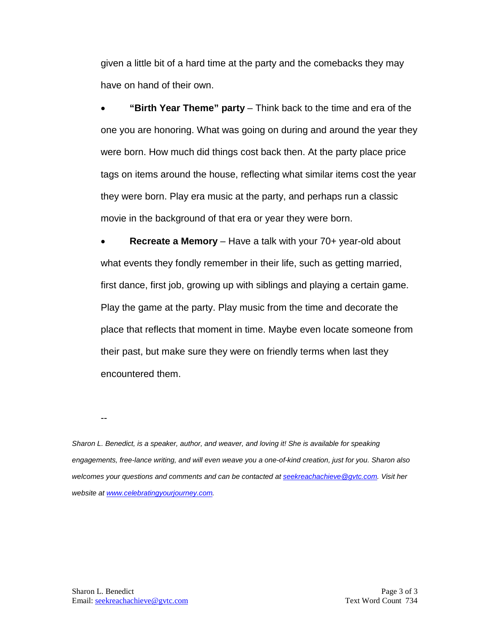given a little bit of a hard time at the party and the comebacks they may have on hand of their own.

• **"Birth Year Theme" party** – Think back to the time and era of the one you are honoring. What was going on during and around the year they were born. How much did things cost back then. At the party place price tags on items around the house, reflecting what similar items cost the year they were born. Play era music at the party, and perhaps run a classic movie in the background of that era or year they were born.

• **Recreate a Memory** – Have a talk with your 70+ year-old about what events they fondly remember in their life, such as getting married, first dance, first job, growing up with siblings and playing a certain game. Play the game at the party. Play music from the time and decorate the place that reflects that moment in time. Maybe even locate someone from their past, but make sure they were on friendly terms when last they encountered them.

--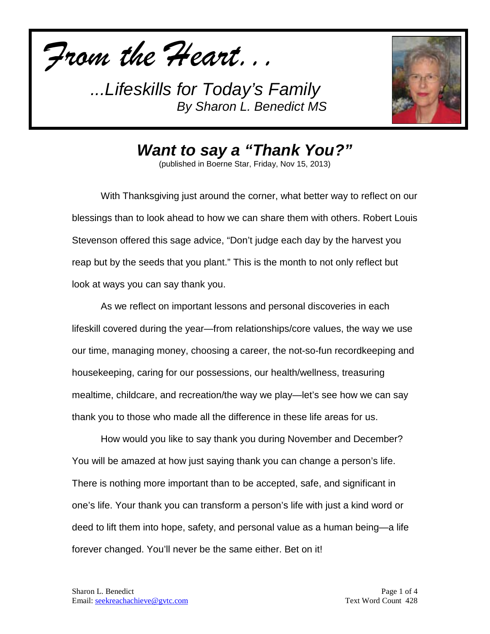*From the Heart...*



*Want to say a "Thank You?"*

(published in Boerne Star, Friday, Nov 15, 2013)

With Thanksgiving just around the corner, what better way to reflect on our blessings than to look ahead to how we can share them with others. Robert Louis Stevenson offered this sage advice, "Don't judge each day by the harvest you reap but by the seeds that you plant." This is the month to not only reflect but look at ways you can say thank you.

As we reflect on important lessons and personal discoveries in each lifeskill covered during the year—from relationships/core values, the way we use our time, managing money, choosing a career, the not-so-fun recordkeeping and housekeeping, caring for our possessions, our health/wellness, treasuring mealtime, childcare, and recreation/the way we play—let's see how we can say thank you to those who made all the difference in these life areas for us.

How would you like to say thank you during November and December? You will be amazed at how just saying thank you can change a person's life. There is nothing more important than to be accepted, safe, and significant in one's life. Your thank you can transform a person's life with just a kind word or deed to lift them into hope, safety, and personal value as a human being—a life forever changed. You'll never be the same either. Bet on it!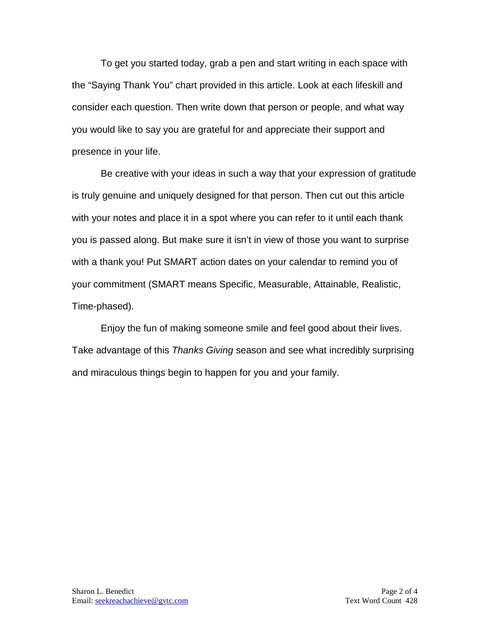To get you started today, grab a pen and start writing in each space with the "Saying Thank You" chart provided in this article. Look at each lifeskill and consider each question. Then write down that person or people, and what way you would like to say you are grateful for and appreciate their support and presence in your life.

Be creative with your ideas in such a way that your expression of gratitude is truly genuine and uniquely designed for that person. Then cut out this article with your notes and place it in a spot where you can refer to it until each thank you is passed along. But make sure it isn't in view of those you want to surprise with a thank you! Put SMART action dates on your calendar to remind you of your commitment (SMART means Specific, Measurable, Attainable, Realistic, Time-phased).

Enjoy the fun of making someone smile and feel good about their lives. Take advantage of this *Thanks Giving* season and see what incredibly surprising and miraculous things begin to happen for you and your family.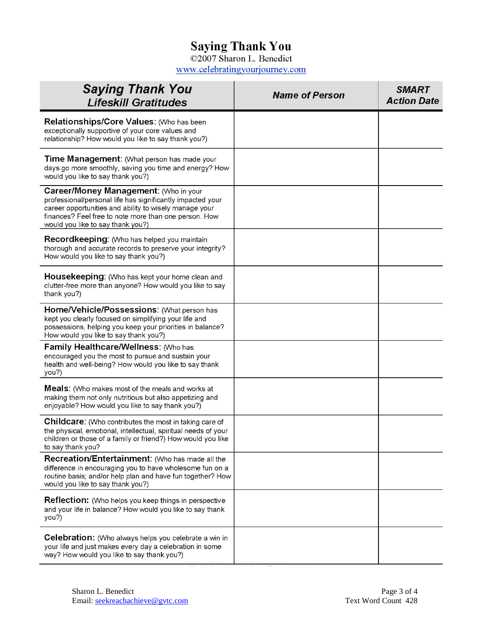## **Saying Thank You**

©2007 Sharon L. Benedict www.celebratingyourjourney.com

| <b>Saying Thank You</b><br><b>Lifeskill Gratitudes</b>                                                                                                                                                                                                             | <b>Name of Person</b> | <b>SMART</b><br><b>Action Date</b> |
|--------------------------------------------------------------------------------------------------------------------------------------------------------------------------------------------------------------------------------------------------------------------|-----------------------|------------------------------------|
| Relationships/Core Values: (Who has been<br>exceptionally supportive of your core values and<br>relationship? How would you like to say thank you?)                                                                                                                |                       |                                    |
| Time Management: (What person has made your<br>days go more smoothly, saving you time and energy? How<br>would you like to say thank you?)                                                                                                                         |                       |                                    |
| <b>Career/Money Management: (Who in your</b><br>professional/personal life has significantly impacted your<br>career opportunities and ability to wisely manage your<br>finances? Feel free to note more than one person. How<br>would you like to say thank you?) |                       |                                    |
| <b>Recordkeeping:</b> (Who has helped you maintain<br>thorough and accurate records to preserve your integrity?<br>How would you like to say thank you?)                                                                                                           |                       |                                    |
| <b>Housekeeping:</b> (Who has kept your home clean and<br>clutter-free more than anyone? How would you like to say<br>thank you?)                                                                                                                                  |                       |                                    |
| Home/Vehicle/Possessions: (What person has<br>kept you clearly focused on simplifying your life and<br>possessions, helping you keep your priorities in balance?<br>How would you like to say thank you?)                                                          |                       |                                    |
| Family Healthcare/Wellness: (Who has<br>encouraged you the most to pursue and sustain your<br>health and well-being? How would you like to say thank<br>you?)                                                                                                      |                       |                                    |
| <b>Meals:</b> (Who makes most of the meals and works at<br>making them not only nutritious but also appetizing and<br>enjoyable? How would you like to say thank you?)                                                                                             |                       |                                    |
| <b>Childcare:</b> (Who contributes the most in taking care of<br>the physical, emotional, intellectual, spiritual needs of your<br>children or those of a family or friend?) How would you like<br>to say thank you?                                               |                       |                                    |
| Recreation/Entertainment: (Who has made all the<br>difference in encouraging you to have wholesome fun on a<br>routine basis; and/or help plan and have fun together? How<br>would you like to say thank you?)                                                     |                       |                                    |
| <b>Reflection:</b> (Who helps you keep things in perspective<br>and your life in balance? How would you like to say thank<br>you?)                                                                                                                                 |                       |                                    |
| Celebration: (Who always helps you celebrate a win in<br>your life and just makes every day a celebration in some<br>way? How would you like to say thank you?)                                                                                                    |                       |                                    |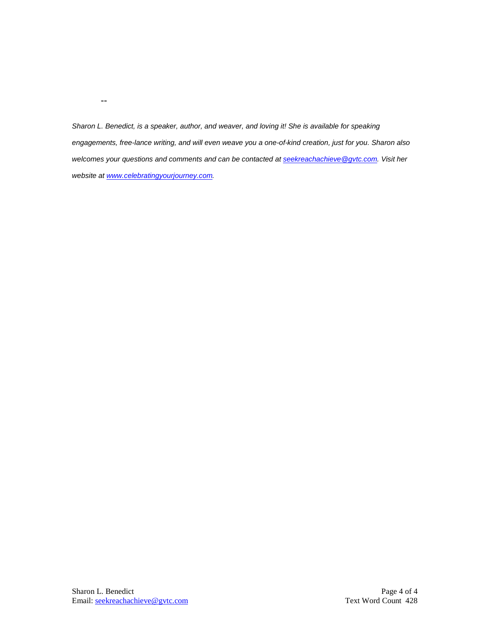*Sharon L. Benedict, is a speaker, author, and weaver, and loving it! She is available for speaking engagements, free-lance writing, and will even weave you a one-of-kind creation, just for you. Sharon also welcomes your questions and comments and can be contacted a[t seekreachachieve@gvtc.com.](mailto:seekreachachieve@gvtc.com) Visit her website at [www.celebratingyourjourney.com.](http://www.celebratingyourjourney.com/)*

--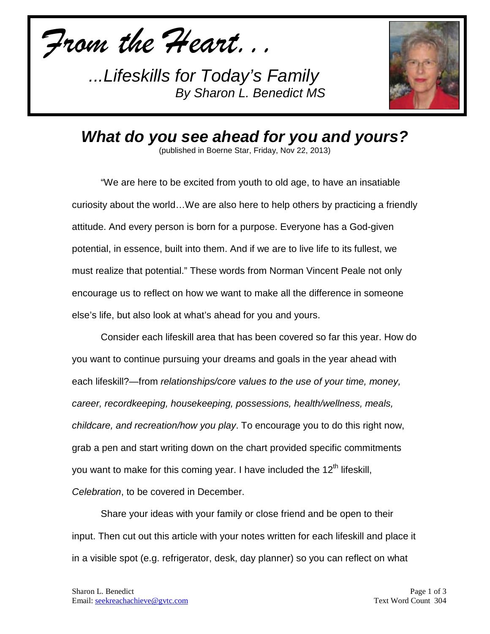*From the Heart...*



*What do you see ahead for you and yours?*

(published in Boerne Star, Friday, Nov 22, 2013)

"We are here to be excited from youth to old age, to have an insatiable curiosity about the world…We are also here to help others by practicing a friendly attitude. And every person is born for a purpose. Everyone has a God-given potential, in essence, built into them. And if we are to live life to its fullest, we must realize that potential." These words from Norman Vincent Peale not only encourage us to reflect on how we want to make all the difference in someone else's life, but also look at what's ahead for you and yours.

Consider each lifeskill area that has been covered so far this year. How do you want to continue pursuing your dreams and goals in the year ahead with each lifeskill?—from *relationships/core values to the use of your time, money, career, recordkeeping, housekeeping, possessions, health/wellness, meals, childcare, and recreation/how you play*. To encourage you to do this right now, grab a pen and start writing down on the chart provided specific commitments you want to make for this coming year. I have included the 12<sup>th</sup> lifeskill, *Celebration*, to be covered in December.

Share your ideas with your family or close friend and be open to their input. Then cut out this article with your notes written for each lifeskill and place it in a visible spot (e.g. refrigerator, desk, day planner) so you can reflect on what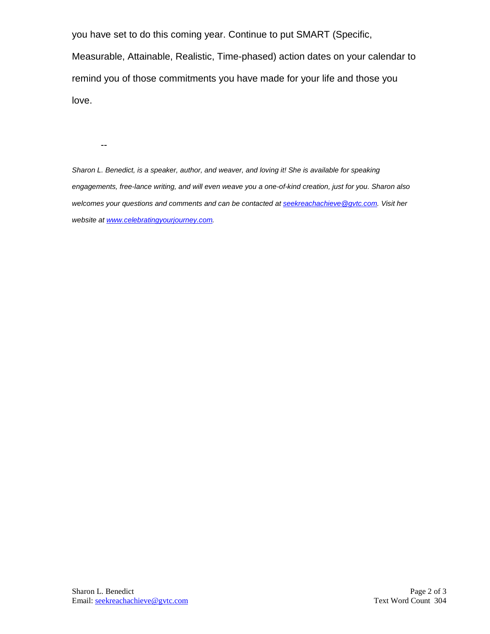you have set to do this coming year. Continue to put SMART (Specific,

Measurable, Attainable, Realistic, Time-phased) action dates on your calendar to remind you of those commitments you have made for your life and those you love.

--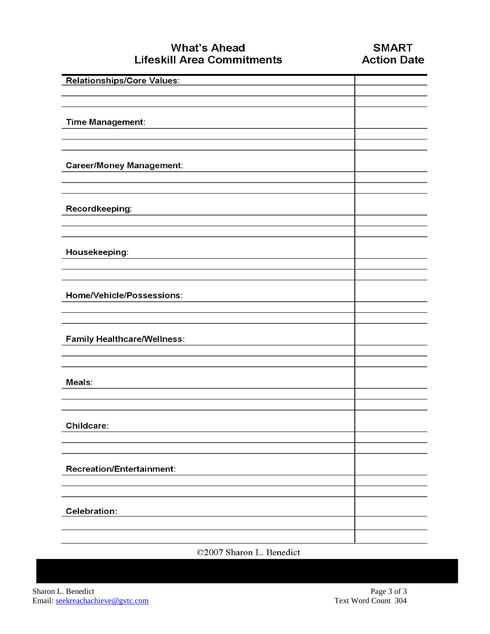## **What's Ahead Lifeskill Area Commitments**

| Relationships/Core Values:         |  |
|------------------------------------|--|
|                                    |  |
|                                    |  |
|                                    |  |
| Time Management:                   |  |
|                                    |  |
|                                    |  |
|                                    |  |
| <b>Career/Money Management:</b>    |  |
|                                    |  |
|                                    |  |
|                                    |  |
| Recordkeeping:                     |  |
|                                    |  |
|                                    |  |
|                                    |  |
| Housekeeping:                      |  |
|                                    |  |
|                                    |  |
|                                    |  |
| Home/Vehicle/Possessions:          |  |
|                                    |  |
|                                    |  |
|                                    |  |
| <b>Family Healthcare/Wellness:</b> |  |
|                                    |  |
|                                    |  |
|                                    |  |
|                                    |  |
| Meals:                             |  |
|                                    |  |
|                                    |  |
|                                    |  |
| Childcare:                         |  |
|                                    |  |
|                                    |  |
|                                    |  |
| <b>Recreation/Entertainment:</b>   |  |
|                                    |  |
|                                    |  |
|                                    |  |
| <b>Celebration:</b>                |  |
|                                    |  |
|                                    |  |
|                                    |  |

©2007 Sharon L. Benedict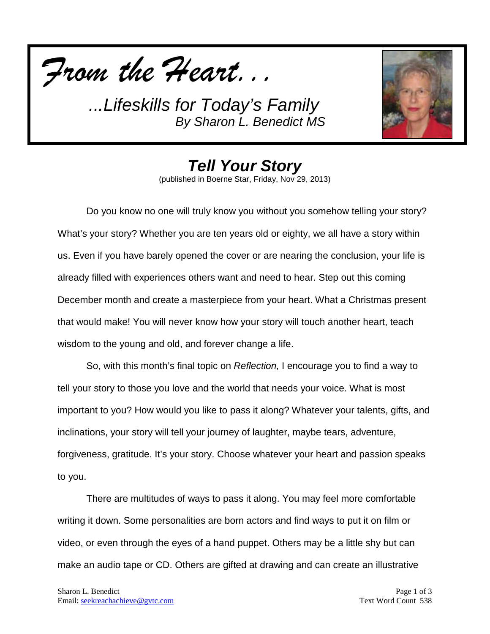



*Tell Your Story* (published in Boerne Star, Friday, Nov 29, 2013)

Do you know no one will truly know you without you somehow telling your story? What's your story? Whether you are ten years old or eighty, we all have a story within us. Even if you have barely opened the cover or are nearing the conclusion, your life is already filled with experiences others want and need to hear. Step out this coming December month and create a masterpiece from your heart. What a Christmas present that would make! You will never know how your story will touch another heart, teach wisdom to the young and old, and forever change a life.

So, with this month's final topic on *Reflection,* I encourage you to find a way to tell your story to those you love and the world that needs your voice. What is most important to you? How would you like to pass it along? Whatever your talents, gifts, and inclinations, your story will tell your journey of laughter, maybe tears, adventure, forgiveness, gratitude. It's your story. Choose whatever your heart and passion speaks to you.

There are multitudes of ways to pass it along. You may feel more comfortable writing it down. Some personalities are born actors and find ways to put it on film or video, or even through the eyes of a hand puppet. Others may be a little shy but can make an audio tape or CD. Others are gifted at drawing and can create an illustrative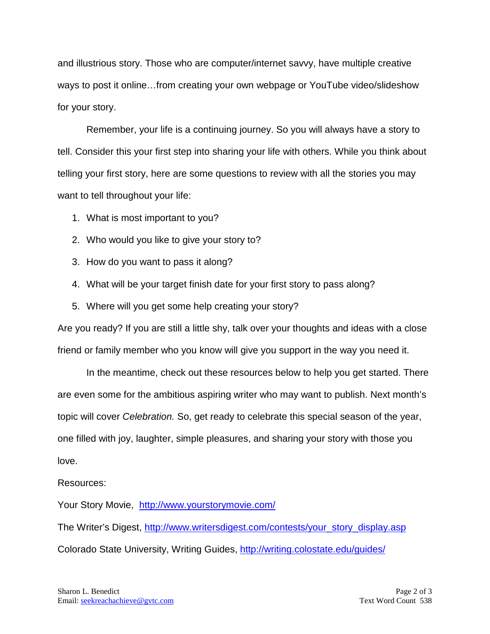and illustrious story. Those who are computer/internet savvy, have multiple creative ways to post it online…from creating your own webpage or YouTube video/slideshow for your story.

Remember, your life is a continuing journey. So you will always have a story to tell. Consider this your first step into sharing your life with others. While you think about telling your first story, here are some questions to review with all the stories you may want to tell throughout your life:

- 1. What is most important to you?
- 2. Who would you like to give your story to?
- 3. How do you want to pass it along?
- 4. What will be your target finish date for your first story to pass along?
- 5. Where will you get some help creating your story?

Are you ready? If you are still a little shy, talk over your thoughts and ideas with a close friend or family member who you know will give you support in the way you need it.

In the meantime, check out these resources below to help you get started. There are even some for the ambitious aspiring writer who may want to publish. Next month's topic will cover *Celebration.* So, get ready to celebrate this special season of the year, one filled with joy, laughter, simple pleasures, and sharing your story with those you love.

## Resources:

Your Story Movie, <http://www.yourstorymovie.com/>

The Writer's Digest, [http://www.writersdigest.com/contests/your\\_story\\_display.asp](http://www.writersdigest.com/contests/your_story_display.asp) Colorado State University, Writing Guides,<http://writing.colostate.edu/guides/>